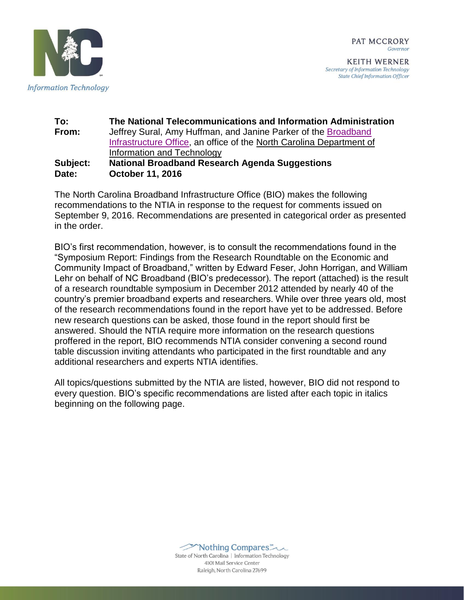

**KEITH WERNER** Secretary of Information Technology **State Chief Information Officer** 



#### **To: The National Telecommunications and Information Administration From:** Jeffrey Sural, Amy Huffman, and Janine Parker of the [Broadband](https://ncbroadband.gov/)  [Infrastructure Office,](https://ncbroadband.gov/) an office of the [North Carolina Department of](http://it.nc.gov/)  [Information and Technology](http://it.nc.gov/) **Subject: National Broadband Research Agenda Suggestions Date: October 11, 2016**

The North Carolina Broadband Infrastructure Office (BIO) makes the following recommendations to the NTIA in response to the request for comments issued on September 9, 2016. Recommendations are presented in categorical order as presented in the order.

BIO's first recommendation, however, is to consult the recommendations found in the "Symposium Report: Findings from the Research Roundtable on the Economic and Community Impact of Broadband," written by Edward Feser, John Horrigan, and William Lehr on behalf of NC Broadband (BIO's predecessor). The report (attached) is the result of a research roundtable symposium in December 2012 attended by nearly 40 of the country's premier broadband experts and researchers. While over three years old, most of the research recommendations found in the report have yet to be addressed. Before new research questions can be asked, those found in the report should first be answered. Should the NTIA require more information on the research questions proffered in the report, BIO recommends NTIA consider convening a second round table discussion inviting attendants who participated in the first roundtable and any additional researchers and experts NTIA identifies.

All topics/questions submitted by the NTIA are listed, however, BIO did not respond to every question. BIO's specific recommendations are listed after each topic in italics beginning on the following page.



State of North Carolina | Information Technology 4101 Mail Service Center Raleigh, North Carolina 27699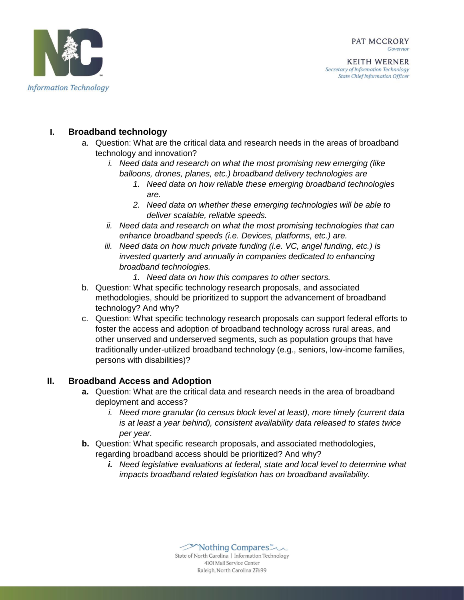

# **I. Broadband technology**

- a. Question: What are the critical data and research needs in the areas of broadband technology and innovation?
	- *i. Need data and research on what the most promising new emerging (like balloons, drones, planes, etc.) broadband delivery technologies are*
		- *1. Need data on how reliable these emerging broadband technologies are.*
		- *2. Need data on whether these emerging technologies will be able to deliver scalable, reliable speeds.*
	- *ii. Need data and research on what the most promising technologies that can enhance broadband speeds (i.e. Devices, platforms, etc.) are.*
	- *iii. Need data on how much private funding (i.e. VC, angel funding, etc.) is invested quarterly and annually in companies dedicated to enhancing broadband technologies.*
		- *1. Need data on how this compares to other sectors.*
- b. Question: What specific technology research proposals, and associated methodologies, should be prioritized to support the advancement of broadband technology? And why?
- c. Question: What specific technology research proposals can support federal efforts to foster the access and adoption of broadband technology across rural areas, and other unserved and underserved segments, such as population groups that have traditionally under-utilized broadband technology (e.g., seniors, low-income families, persons with disabilities)?

# **II. Broadband Access and Adoption**

- **a.** Question: What are the critical data and research needs in the area of broadband deployment and access?
	- *i. Need more granular (to census block level at least), more timely (current data is at least a year behind), consistent availability data released to states twice per year.*
- **b.** Question: What specific research proposals, and associated methodologies, regarding broadband access should be prioritized? And why?
	- *i. Need legislative evaluations at federal, state and local level to determine what impacts broadband related legislation has on broadband availability.*

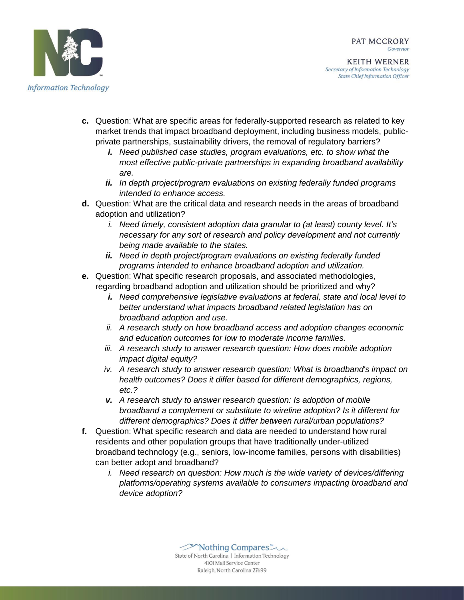



- **c.** Question: What are specific areas for federally-supported research as related to key market trends that impact broadband deployment, including business models, publicprivate partnerships, sustainability drivers, the removal of regulatory barriers?
	- *i. Need published case studies, program evaluations, etc. to show what the most effective public-private partnerships in expanding broadband availability are.*
	- *ii. In depth project/program evaluations on existing federally funded programs intended to enhance access.*
- **d.** Question: What are the critical data and research needs in the areas of broadband adoption and utilization?
	- *i. Need timely, consistent adoption data granular to (at least) county level. It's necessary for any sort of research and policy development and not currently being made available to the states.*
	- *ii. Need in depth project/program evaluations on existing federally funded programs intended to enhance broadband adoption and utilization.*
- **e.** Question: What specific research proposals, and associated methodologies, regarding broadband adoption and utilization should be prioritized and why?
	- *i. Need comprehensive legislative evaluations at federal, state and local level to better understand what impacts broadband related legislation has on broadband adoption and use.*
	- *ii. A research study on how broadband access and adoption changes economic and education outcomes for low to moderate income families.*
	- *iii. A research study to answer research question: How does mobile adoption impact digital equity?*
	- *iv. A research study to answer research question: What is broadband's impact on health outcomes? Does it differ based for different demographics, regions, etc.?*
	- *v. A research study to answer research question: Is adoption of mobile broadband a complement or substitute to wireline adoption? Is it different for different demographics? Does it differ between rural/urban populations?*
- **f.** Question: What specific research and data are needed to understand how rural residents and other population groups that have traditionally under-utilized broadband technology (e.g., seniors, low-income families, persons with disabilities) can better adopt and broadband?
	- *i. Need research on question: How much is the wide variety of devices/differing platforms/operating systems available to consumers impacting broadband and device adoption?*

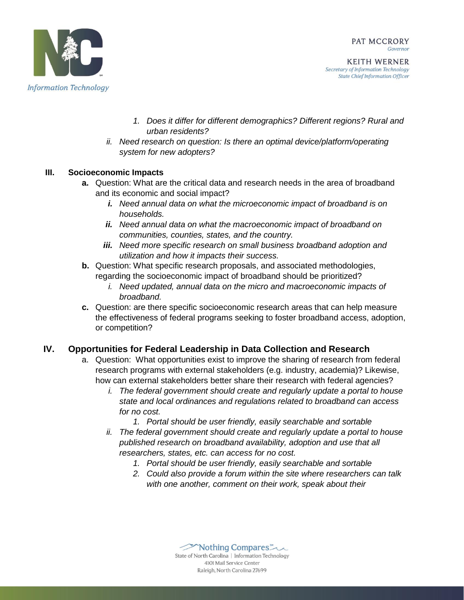

**KEITH WERNER** Secretary of Information Technology **State Chief Information Officer** 

- *1. Does it differ for different demographics? Different regions? Rural and urban residents?*
- *ii. Need research on question: Is there an optimal device/platform/operating system for new adopters?*

# **III. Socioeconomic Impacts**

- **a.** Question: What are the critical data and research needs in the area of broadband and its economic and social impact?
	- *i. Need annual data on what the microeconomic impact of broadband is on households.*
	- *ii. Need annual data on what the macroeconomic impact of broadband on communities, counties, states, and the country.*
	- *iii. Need more specific research on small business broadband adoption and utilization and how it impacts their success.*
- **b.** Question: What specific research proposals, and associated methodologies, regarding the socioeconomic impact of broadband should be prioritized?
	- *i. Need updated, annual data on the micro and macroeconomic impacts of broadband.*
- **c.** Question: are there specific socioeconomic research areas that can help measure the effectiveness of federal programs seeking to foster broadband access, adoption, or competition?

# **IV. Opportunities for Federal Leadership in Data Collection and Research**

- a. Question: What opportunities exist to improve the sharing of research from federal research programs with external stakeholders (e.g. industry, academia)? Likewise, how can external stakeholders better share their research with federal agencies?
	- *i. The federal government should create and regularly update a portal to house state and local ordinances and regulations related to broadband can access for no cost.*
		- *1. Portal should be user friendly, easily searchable and sortable*
	- *ii. The federal government should create and regularly update a portal to house published research on broadband availability, adoption and use that all researchers, states, etc. can access for no cost.*
		- *1. Portal should be user friendly, easily searchable and sortable*
		- *2. Could also provide a forum within the site where researchers can talk with one another, comment on their work, speak about their*

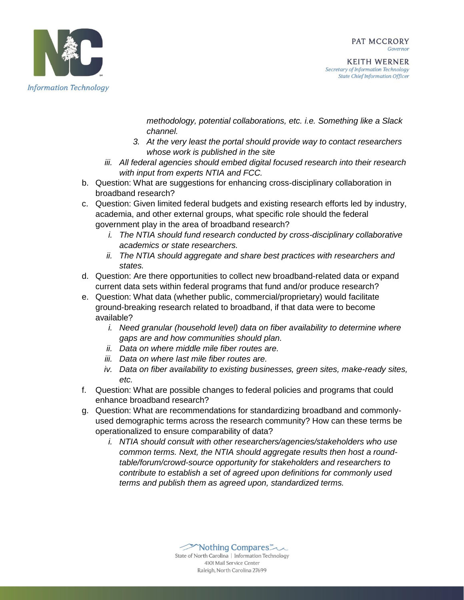

**KEITH WERNER** Secretary of Information Technology **State Chief Information Officer** 

*methodology, potential collaborations, etc. i.e. Something like a Slack channel.*

- *3. At the very least the portal should provide way to contact researchers whose work is published in the site*
- *iii. All federal agencies should embed digital focused research into their research with input from experts NTIA and FCC.*
- b. Question: What are suggestions for enhancing cross-disciplinary collaboration in broadband research?
- c. Question: Given limited federal budgets and existing research efforts led by industry, academia, and other external groups, what specific role should the federal government play in the area of broadband research?
	- *i. The NTIA should fund research conducted by cross-disciplinary collaborative academics or state researchers.*
	- *ii. The NTIA should aggregate and share best practices with researchers and states.*
- d. Question: Are there opportunities to collect new broadband-related data or expand current data sets within federal programs that fund and/or produce research?
- e. Question: What data (whether public, commercial/proprietary) would facilitate ground-breaking research related to broadband, if that data were to become available?
	- *i. Need granular (household level) data on fiber availability to determine where gaps are and how communities should plan.*
	- *ii. Data on where middle mile fiber routes are.*
	- *iii. Data on where last mile fiber routes are.*
	- *iv. Data on fiber availability to existing businesses, green sites, make-ready sites, etc.*
- f. Question: What are possible changes to federal policies and programs that could enhance broadband research?
- g. Question: What are recommendations for standardizing broadband and commonlyused demographic terms across the research community? How can these terms be operationalized to ensure comparability of data?
	- *i. NTIA should consult with other researchers/agencies/stakeholders who use common terms. Next, the NTIA should aggregate results then host a roundtable/forum/crowd-source opportunity for stakeholders and researchers to contribute to establish a set of agreed upon definitions for commonly used terms and publish them as agreed upon, standardized terms.*

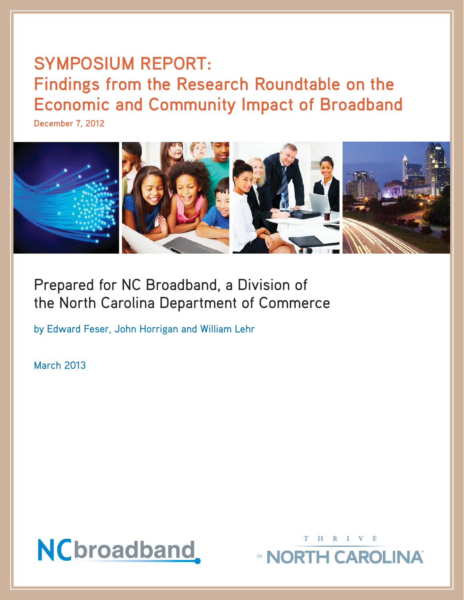# **SYMPOSIUM REPORT: Findings from the Research Roundtable on the Economic and Community Impact of Broadband**

**December 7, 2012**



# Prepared for NC Broadband, a Division of the North Carolina Department of Commerce

by Edward Feser, John Horrigan and William Lehr

March 2013



THRIVE

in NORTH CAROLINA®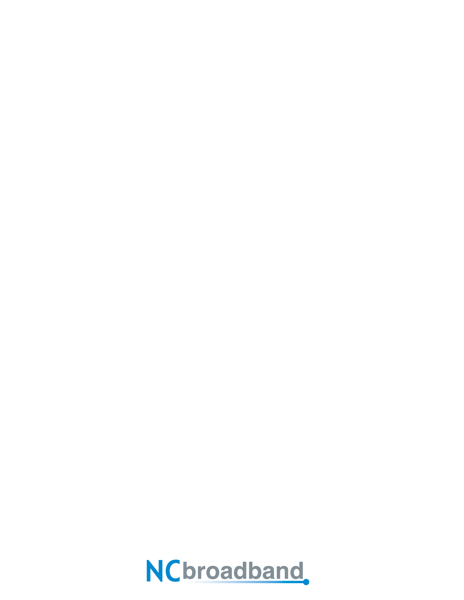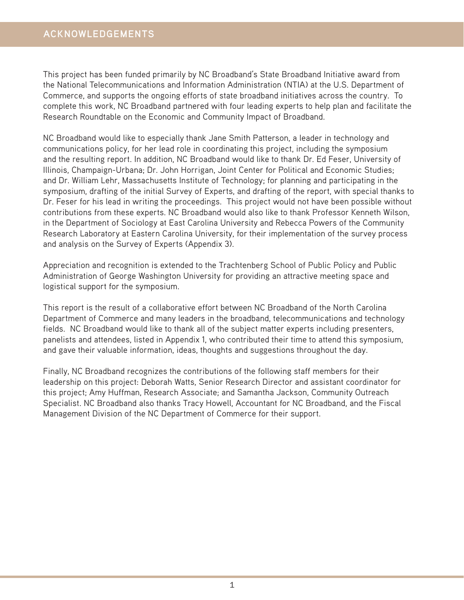# **ACKNOWLEDGEMENTS**

This project has been funded primarily by NC Broadband's State Broadband Initiative award from the National Telecommunications and Information Administration (NTIA) at the U.S. Department of Commerce, and supports the ongoing efforts of state broadband initiatives across the country. To complete this work, NC Broadband partnered with four leading experts to help plan and facilitate the Research Roundtable on the Economic and Community Impact of Broadband.

NC Broadband would like to especially thank Jane Smith Patterson, a leader in technology and communications policy, for her lead role in coordinating this project, including the symposium and the resulting report. In addition, NC Broadband would like to thank Dr. Ed Feser, University of Illinois, Champaign-Urbana; Dr. John Horrigan, Joint Center for Political and Economic Studies; and Dr. William Lehr, Massachusetts Institute of Technology; for planning and participating in the symposium, drafting of the initial Survey of Experts, and drafting of the report, with special thanks to Dr. Feser for his lead in writing the proceedings. This project would not have been possible without contributions from these experts. NC Broadband would also like to thank Professor Kenneth Wilson, in the Department of Sociology at East Carolina University and Rebecca Powers of the Community Research Laboratory at Eastern Carolina University, for their implementation of the survey process and analysis on the Survey of Experts (Appendix 3).

Appreciation and recognition is extended to the Trachtenberg School of Public Policy and Public Administration of George Washington University for providing an attractive meeting space and logistical support for the symposium.

This report is the result of a collaborative effort between NC Broadband of the North Carolina Department of Commerce and many leaders in the broadband, telecommunications and technology fields. NC Broadband would like to thank all of the subject matter experts including presenters, panelists and attendees, listed in Appendix 1, who contributed their time to attend this symposium, and gave their valuable information, ideas, thoughts and suggestions throughout the day.

Finally, NC Broadband recognizes the contributions of the following staff members for their leadership on this project: Deborah Watts, Senior Research Director and assistant coordinator for this project; Amy Huffman, Research Associate; and Samantha Jackson, Community Outreach Specialist. NC Broadband also thanks Tracy Howell, Accountant for NC Broadband, and the Fiscal Management Division of the NC Department of Commerce for their support.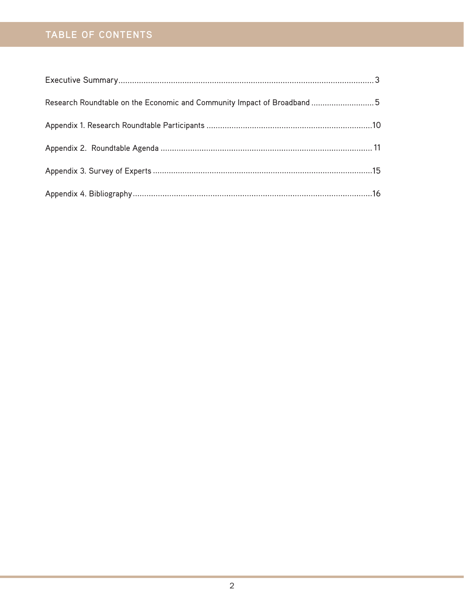# **TABLE OF CONTENTS**

| Research Roundtable on the Economic and Community Impact of Broadband 5 |  |
|-------------------------------------------------------------------------|--|
|                                                                         |  |
|                                                                         |  |
|                                                                         |  |
|                                                                         |  |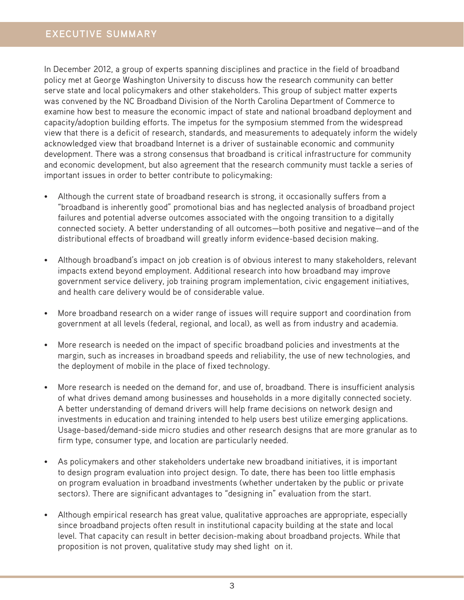# **EXECUTIVE SUMMARY**

In December 2012, a group of experts spanning disciplines and practice in the field of broadband policy met at George Washington University to discuss how the research community can better serve state and local policymakers and other stakeholders. This group of subject matter experts was convened by the NC Broadband Division of the North Carolina Department of Commerce to examine how best to measure the economic impact of state and national broadband deployment and capacity/adoption building efforts. The impetus for the symposium stemmed from the widespread view that there is a deficit of research, standards, and measurements to adequately inform the widely acknowledged view that broadband Internet is a driver of sustainable economic and community development. There was a strong consensus that broadband is critical infrastructure for community and economic development, but also agreement that the research community must tackle a series of important issues in order to better contribute to policymaking:

- Although the current state of broadband research is strong, it occasionally suffers from a "broadband is inherently good" promotional bias and has neglected analysis of broadband project failures and potential adverse outcomes associated with the ongoing transition to a digitally connected society. A better understanding of all outcomes—both positive and negative—and of the distributional effects of broadband will greatly inform evidence-based decision making.
- Although broadband's impact on job creation is of obvious interest to many stakeholders, relevant impacts extend beyond employment. Additional research into how broadband may improve government service delivery, job training program implementation, civic engagement initiatives, and health care delivery would be of considerable value.
- More broadband research on a wider range of issues will require support and coordination from government at all levels (federal, regional, and local), as well as from industry and academia.
- More research is needed on the impact of specific broadband policies and investments at the margin, such as increases in broadband speeds and reliability, the use of new technologies, and the deployment of mobile in the place of fixed technology.
- More research is needed on the demand for, and use of, broadband. There is insufficient analysis of what drives demand among businesses and households in a more digitally connected society. A better understanding of demand drivers will help frame decisions on network design and investments in education and training intended to help users best utilize emerging applications. Usage-based/demand-side micro studies and other research designs that are more granular as to firm type, consumer type, and location are particularly needed.
- As policymakers and other stakeholders undertake new broadband initiatives, it is important to design program evaluation into project design. To date, there has been too little emphasis on program evaluation in broadband investments (whether undertaken by the public or private sectors). There are significant advantages to "designing in" evaluation from the start.
- Although empirical research has great value, qualitative approaches are appropriate, especially since broadband projects often result in institutional capacity building at the state and local level. That capacity can result in better decision-making about broadband projects. While that proposition is not proven, qualitative study may shed light on it.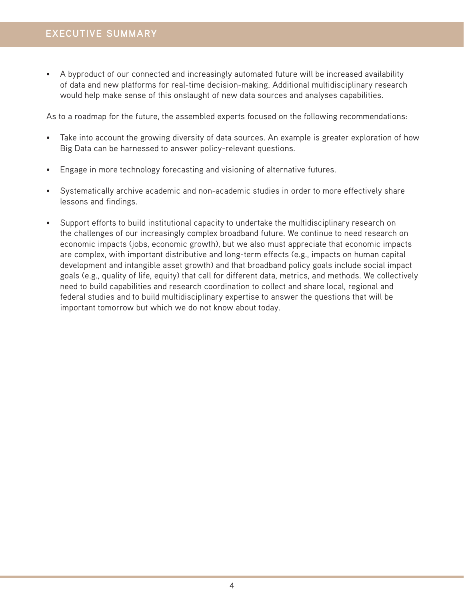• A byproduct of our connected and increasingly automated future will be increased availability of data and new platforms for real-time decision-making. Additional multidisciplinary research would help make sense of this onslaught of new data sources and analyses capabilities.

As to a roadmap for the future, the assembled experts focused on the following recommendations:

- Take into account the growing diversity of data sources. An example is greater exploration of how Big Data can be harnessed to answer policy-relevant questions.
- Engage in more technology forecasting and visioning of alternative futures.
- Systematically archive academic and non-academic studies in order to more effectively share lessons and findings.
- Support efforts to build institutional capacity to undertake the multidisciplinary research on the challenges of our increasingly complex broadband future. We continue to need research on economic impacts (jobs, economic growth), but we also must appreciate that economic impacts are complex, with important distributive and long-term effects (e.g., impacts on human capital development and intangible asset growth) and that broadband policy goals include social impact goals (e.g., quality of life, equity) that call for different data, metrics, and methods. We collectively need to build capabilities and research coordination to collect and share local, regional and federal studies and to build multidisciplinary expertise to answer the questions that will be important tomorrow but which we do not know about today.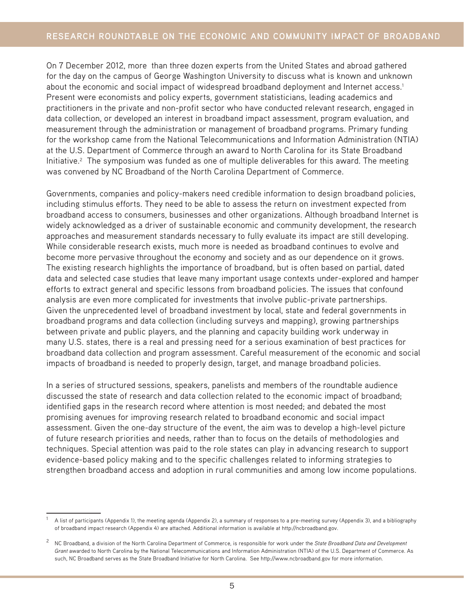On 7 December 2012, more than three dozen experts from the United States and abroad gathered for the day on the campus of George Washington University to discuss what is known and unknown about the economic and social impact of widespread broadband deployment and Internet access.<sup>1</sup> Present were economists and policy experts, government statisticians, leading academics and practitioners in the private and non-profit sector who have conducted relevant research, engaged in data collection, or developed an interest in broadband impact assessment, program evaluation, and measurement through the administration or management of broadband programs. Primary funding for the workshop came from the National Telecommunications and Information Administration (NTIA) at the U.S. Department of Commerce through an award to North Carolina for its State Broadband Initiative.<sup>2</sup> The symposium was funded as one of multiple deliverables for this award. The meeting was convened by NC Broadband of the North Carolina Department of Commerce.

Governments, companies and policy-makers need credible information to design broadband policies, including stimulus efforts. They need to be able to assess the return on investment expected from broadband access to consumers, businesses and other organizations. Although broadband Internet is widely acknowledged as a driver of sustainable economic and community development, the research approaches and measurement standards necessary to fully evaluate its impact are still developing. While considerable research exists, much more is needed as broadband continues to evolve and become more pervasive throughout the economy and society and as our dependence on it grows. The existing research highlights the importance of broadband, but is often based on partial, dated data and selected case studies that leave many important usage contexts under-explored and hamper efforts to extract general and specific lessons from broadband policies. The issues that confound analysis are even more complicated for investments that involve public-private partnerships. Given the unprecedented level of broadband investment by local, state and federal governments in broadband programs and data collection (including surveys and mapping), growing partnerships between private and public players, and the planning and capacity building work underway in many U.S. states, there is a real and pressing need for a serious examination of best practices for broadband data collection and program assessment. Careful measurement of the economic and social impacts of broadband is needed to properly design, target, and manage broadband policies.

In a series of structured sessions, speakers, panelists and members of the roundtable audience discussed the state of research and data collection related to the economic impact of broadband; identified gaps in the research record where attention is most needed; and debated the most promising avenues for improving research related to broadband economic and social impact assessment. Given the one-day structure of the event, the aim was to develop a high-level picture of future research priorities and needs, rather than to focus on the details of methodologies and techniques. Special attention was paid to the role states can play in advancing research to support evidence-based policy making and to the specific challenges related to informing strategies to strengthen broadband access and adoption in rural communities and among low income populations.

<sup>1</sup> A list of participants (Appendix 1), the meeting agenda (Appendix 2), a summary of responses to a pre-meeting survey (Appendix 3), and a bibliography of broadband impact research (Appendix 4) are attached. Additional information is available at http://ncbroadband.gov.

<sup>2</sup> NC Broadband, a division of the North Carolina Department of Commerce, is responsible for work under the *State Broadband Data and Development Grant* awarded to North Carolina by the National Telecommunications and Information Administration (NTIA) of the U.S. Department of Commerce. As such, NC Broadband serves as the State Broadband Initiative for North Carolina. See http://www.ncbroadband.gov for more information.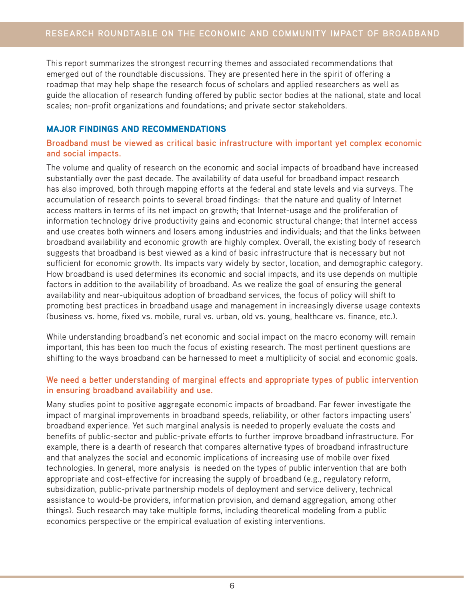This report summarizes the strongest recurring themes and associated recommendations that emerged out of the roundtable discussions. They are presented here in the spirit of offering a roadmap that may help shape the research focus of scholars and applied researchers as well as guide the allocation of research funding offered by public sector bodies at the national, state and local scales; non-profit organizations and foundations; and private sector stakeholders.

# MAJOR FINDINGS AND RECOMMENDATIONS

# **Broadband must be viewed as critical basic infrastructure with important yet complex economic and social impacts.**

The volume and quality of research on the economic and social impacts of broadband have increased substantially over the past decade. The availability of data useful for broadband impact research has also improved, both through mapping efforts at the federal and state levels and via surveys. The accumulation of research points to several broad findings: that the nature and quality of Internet access matters in terms of its net impact on growth; that Internet-usage and the proliferation of information technology drive productivity gains and economic structural change; that Internet access and use creates both winners and losers among industries and individuals; and that the links between broadband availability and economic growth are highly complex. Overall, the existing body of research suggests that broadband is best viewed as a kind of basic infrastructure that is necessary but not sufficient for economic growth. Its impacts vary widely by sector, location, and demographic category. How broadband is used determines its economic and social impacts, and its use depends on multiple factors in addition to the availability of broadband. As we realize the goal of ensuring the general availability and near-ubiquitous adoption of broadband services, the focus of policy will shift to promoting best practices in broadband usage and management in increasingly diverse usage contexts (business vs. home, fixed vs. mobile, rural vs. urban, old vs. young, healthcare vs. finance, etc.).

While understanding broadband's net economic and social impact on the macro economy will remain important, this has been too much the focus of existing research. The most pertinent questions are shifting to the ways broadband can be harnessed to meet a multiplicity of social and economic goals.

# **We need a better understanding of marginal effects and appropriate types of public intervention in ensuring broadband availability and use.**

Many studies point to positive aggregate economic impacts of broadband. Far fewer investigate the impact of marginal improvements in broadband speeds, reliability, or other factors impacting users' broadband experience. Yet such marginal analysis is needed to properly evaluate the costs and benefits of public-sector and public-private efforts to further improve broadband infrastructure. For example, there is a dearth of research that compares alternative types of broadband infrastructure and that analyzes the social and economic implications of increasing use of mobile over fixed technologies. In general, more analysis is needed on the types of public intervention that are both appropriate and cost-effective for increasing the supply of broadband (e.g., regulatory reform, subsidization, public-private partnership models of deployment and service delivery, technical assistance to would-be providers, information provision, and demand aggregation, among other things). Such research may take multiple forms, including theoretical modeling from a public economics perspective or the empirical evaluation of existing interventions.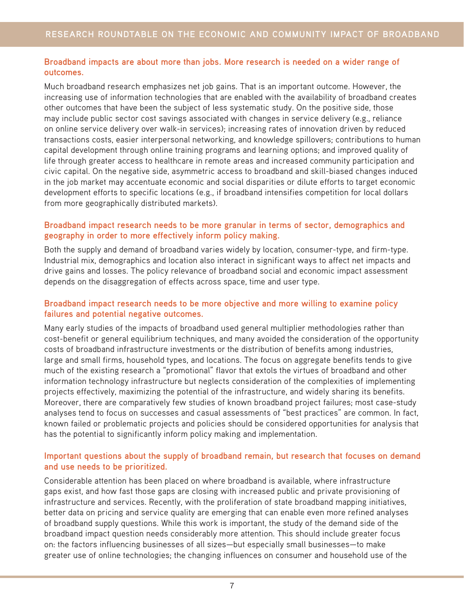# **Broadband impacts are about more than jobs. More research is needed on a wider range of outcomes.**

Much broadband research emphasizes net job gains. That is an important outcome. However, the increasing use of information technologies that are enabled with the availability of broadband creates other outcomes that have been the subject of less systematic study. On the positive side, those may include public sector cost savings associated with changes in service delivery (e.g., reliance on online service delivery over walk-in services); increasing rates of innovation driven by reduced transactions costs, easier interpersonal networking, and knowledge spillovers; contributions to human capital development through online training programs and learning options; and improved quality of life through greater access to healthcare in remote areas and increased community participation and civic capital. On the negative side, asymmetric access to broadband and skill-biased changes induced in the job market may accentuate economic and social disparities or dilute efforts to target economic development efforts to specific locations (e.g., if broadband intensifies competition for local dollars from more geographically distributed markets).

# **Broadband impact research needs to be more granular in terms of sector, demographics and geography in order to more effectively inform policy making.**

Both the supply and demand of broadband varies widely by location, consumer-type, and firm-type. Industrial mix, demographics and location also interact in significant ways to affect net impacts and drive gains and losses. The policy relevance of broadband social and economic impact assessment depends on the disaggregation of effects across space, time and user type.

# **Broadband impact research needs to be more objective and more willing to examine policy failures and potential negative outcomes.**

Many early studies of the impacts of broadband used general multiplier methodologies rather than cost-benefit or general equilibrium techniques, and many avoided the consideration of the opportunity costs of broadband infrastructure investments or the distribution of benefits among industries, large and small firms, household types, and locations. The focus on aggregate benefits tends to give much of the existing research a "promotional" flavor that extols the virtues of broadband and other information technology infrastructure but neglects consideration of the complexities of implementing projects effectively, maximizing the potential of the infrastructure, and widely sharing its benefits. Moreover, there are comparatively few studies of known broadband project failures; most case-study analyses tend to focus on successes and casual assessments of "best practices" are common. In fact, known failed or problematic projects and policies should be considered opportunities for analysis that has the potential to significantly inform policy making and implementation.

#### **Important questions about the supply of broadband remain, but research that focuses on demand and use needs to be prioritized.**

Considerable attention has been placed on where broadband is available, where infrastructure gaps exist, and how fast those gaps are closing with increased public and private provisioning of infrastructure and services. Recently, with the proliferation of state broadband mapping initiatives, better data on pricing and service quality are emerging that can enable even more refined analyses of broadband supply questions. While this work is important, the study of the demand side of the broadband impact question needs considerably more attention. This should include greater focus on: the factors influencing businesses of all sizes—but especially small businesses—to make greater use of online technologies; the changing influences on consumer and household use of the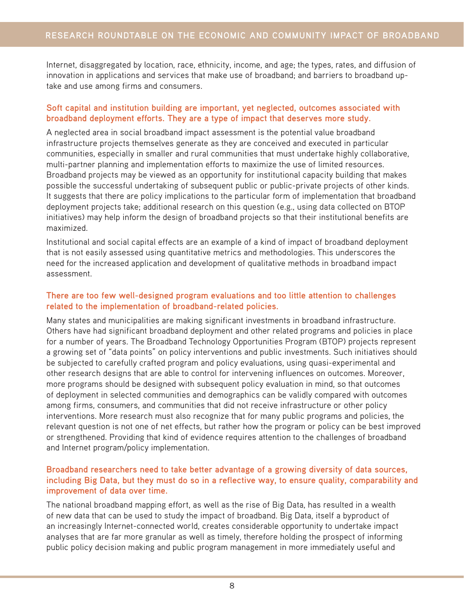Internet, disaggregated by location, race, ethnicity, income, and age; the types, rates, and diffusion of innovation in applications and services that make use of broadband; and barriers to broadband uptake and use among firms and consumers.

#### **Soft capital and institution building are important, yet neglected, outcomes associated with broadband deployment efforts. They are a type of impact that deserves more study.**

A neglected area in social broadband impact assessment is the potential value broadband infrastructure projects themselves generate as they are conceived and executed in particular communities, especially in smaller and rural communities that must undertake highly collaborative, multi-partner planning and implementation efforts to maximize the use of limited resources. Broadband projects may be viewed as an opportunity for institutional capacity building that makes possible the successful undertaking of subsequent public or public-private projects of other kinds. It suggests that there are policy implications to the particular form of implementation that broadband deployment projects take; additional research on this question (e.g., using data collected on BTOP initiatives) may help inform the design of broadband projects so that their institutional benefits are maximized.

Institutional and social capital effects are an example of a kind of impact of broadband deployment that is not easily assessed using quantitative metrics and methodologies. This underscores the need for the increased application and development of qualitative methods in broadband impact assessment.

#### **There are too few well-designed program evaluations and too little attention to challenges related to the implementation of broadband-related policies.**

Many states and municipalities are making significant investments in broadband infrastructure. Others have had significant broadband deployment and other related programs and policies in place for a number of years. The Broadband Technology Opportunities Program (BTOP) projects represent a growing set of "data points" on policy interventions and public investments. Such initiatives should be subjected to carefully crafted program and policy evaluations, using quasi-experimental and other research designs that are able to control for intervening influences on outcomes. Moreover, more programs should be designed with subsequent policy evaluation in mind, so that outcomes of deployment in selected communities and demographics can be validly compared with outcomes among firms, consumers, and communities that did not receive infrastructure or other policy interventions. More research must also recognize that for many public programs and policies, the relevant question is not one of net effects, but rather how the program or policy can be best improved or strengthened. Providing that kind of evidence requires attention to the challenges of broadband and Internet program/policy implementation.

#### **Broadband researchers need to take better advantage of a growing diversity of data sources, including Big Data, but they must do so in a reflective way, to ensure quality, comparability and improvement of data over time.**

The national broadband mapping effort, as well as the rise of Big Data, has resulted in a wealth of new data that can be used to study the impact of broadband. Big Data, itself a byproduct of an increasingly Internet-connected world, creates considerable opportunity to undertake impact analyses that are far more granular as well as timely, therefore holding the prospect of informing public policy decision making and public program management in more immediately useful and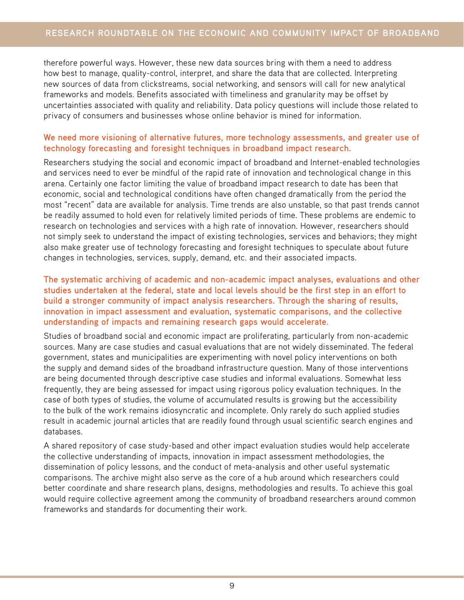therefore powerful ways. However, these new data sources bring with them a need to address how best to manage, quality-control, interpret, and share the data that are collected. Interpreting new sources of data from clickstreams, social networking, and sensors will call for new analytical frameworks and models. Benefits associated with timeliness and granularity may be offset by uncertainties associated with quality and reliability. Data policy questions will include those related to privacy of consumers and businesses whose online behavior is mined for information.

#### **We need more visioning of alternative futures, more technology assessments, and greater use of technology forecasting and foresight techniques in broadband impact research.**

Researchers studying the social and economic impact of broadband and Internet-enabled technologies and services need to ever be mindful of the rapid rate of innovation and technological change in this arena. Certainly one factor limiting the value of broadband impact research to date has been that economic, social and technological conditions have often changed dramatically from the period the most "recent" data are available for analysis. Time trends are also unstable, so that past trends cannot be readily assumed to hold even for relatively limited periods of time. These problems are endemic to research on technologies and services with a high rate of innovation. However, researchers should not simply seek to understand the impact of existing technologies, services and behaviors; they might also make greater use of technology forecasting and foresight techniques to speculate about future changes in technologies, services, supply, demand, etc. and their associated impacts.

#### **The systematic archiving of academic and non-academic impact analyses, evaluations and other studies undertaken at the federal, state and local levels should be the first step in an effort to build a stronger community of impact analysis researchers. Through the sharing of results, innovation in impact assessment and evaluation, systematic comparisons, and the collective understanding of impacts and remaining research gaps would accelerate.**

Studies of broadband social and economic impact are proliferating, particularly from non-academic sources. Many are case studies and casual evaluations that are not widely disseminated. The federal government, states and municipalities are experimenting with novel policy interventions on both the supply and demand sides of the broadband infrastructure question. Many of those interventions are being documented through descriptive case studies and informal evaluations. Somewhat less frequently, they are being assessed for impact using rigorous policy evaluation techniques. In the case of both types of studies, the volume of accumulated results is growing but the accessibility to the bulk of the work remains idiosyncratic and incomplete. Only rarely do such applied studies result in academic journal articles that are readily found through usual scientific search engines and databases.

A shared repository of case study-based and other impact evaluation studies would help accelerate the collective understanding of impacts, innovation in impact assessment methodologies, the dissemination of policy lessons, and the conduct of meta-analysis and other useful systematic comparisons. The archive might also serve as the core of a hub around which researchers could better coordinate and share research plans, designs, methodologies and results. To achieve this goal would require collective agreement among the community of broadband researchers around common frameworks and standards for documenting their work.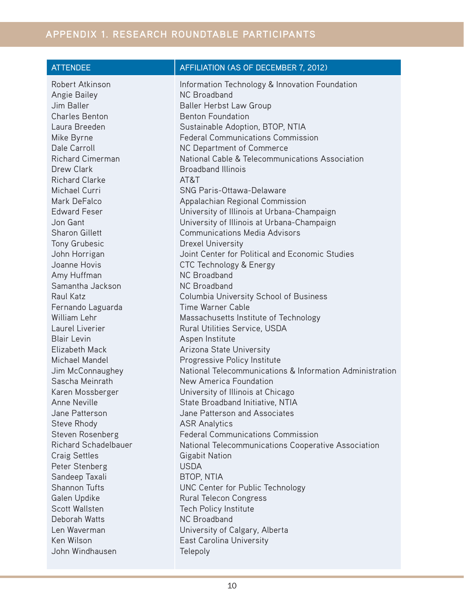# **APPENDIX 1. RESEARCH ROUNDTABLE PARTICIPANTS**

# ATTENDEE **AFFILIATION (AS OF DECEMBER 7, 2012)**

| Robert Atkinson         | Information Technology & Innovation Foundation           |
|-------------------------|----------------------------------------------------------|
| <b>Angie Bailey</b>     | <b>NC Broadband</b>                                      |
| Jim Baller              | Baller Herbst Law Group                                  |
| <b>Charles Benton</b>   | <b>Benton Foundation</b>                                 |
| Laura Breeden           | Sustainable Adoption, BTOP, NTIA                         |
| Mike Byrne              | <b>Federal Communications Commission</b>                 |
| Dale Carroll            | NC Department of Commerce                                |
| <b>Richard Cimerman</b> | National Cable & Telecommunications Association          |
| Drew Clark              | <b>Broadband Illinois</b>                                |
| <b>Richard Clarke</b>   | AT&T                                                     |
| Michael Curri           | <b>SNG Paris-Ottawa-Delaware</b>                         |
| Mark DeFalco            | Appalachian Regional Commission                          |
| <b>Edward Feser</b>     | University of Illinois at Urbana-Champaign               |
| Jon Gant                | University of Illinois at Urbana-Champaign               |
| <b>Sharon Gillett</b>   | <b>Communications Media Advisors</b>                     |
| <b>Tony Grubesic</b>    | <b>Drexel University</b>                                 |
| John Horrigan           | Joint Center for Political and Economic Studies          |
| Joanne Hovis            | CTC Technology & Energy                                  |
| Amy Huffman             | <b>NC Broadband</b>                                      |
| Samantha Jackson        | <b>NC Broadband</b>                                      |
| Raul Katz               | Columbia University School of Business                   |
| Fernando Laguarda       | Time Warner Cable                                        |
| <b>William Lehr</b>     | Massachusetts Institute of Technology                    |
| Laurel Liverier         | Rural Utilities Service, USDA                            |
| <b>Blair Levin</b>      | Aspen Institute                                          |
| <b>Elizabeth Mack</b>   | Arizona State University                                 |
| Michael Mandel          | Progressive Policy Institute                             |
| Jim McConnaughey        | National Telecommunications & Information Administration |
| Sascha Meinrath         | New America Foundation                                   |
| Karen Mossberger        | University of Illinois at Chicago                        |
| Anne Neville            | State Broadband Initiative, NTIA                         |
| Jane Patterson          | Jane Patterson and Associates                            |
| Steve Rhody             | <b>ASR Analytics</b>                                     |
| Steven Rosenberg        | <b>Federal Communications Commission</b>                 |
| Richard Schadelbauer    | National Telecommunications Cooperative Association      |
| <b>Craig Settles</b>    | <b>Gigabit Nation</b>                                    |
| Peter Stenberg          | <b>USDA</b>                                              |
| Sandeep Taxali          | <b>BTOP, NTIA</b>                                        |
| <b>Shannon Tufts</b>    | UNC Center for Public Technology                         |
| Galen Updike            | Rural Telecon Congress                                   |
| Scott Wallsten          | Tech Policy Institute                                    |
| Deborah Watts           | <b>NC Broadband</b>                                      |
| Len Waverman            | University of Calgary, Alberta                           |
| Ken Wilson              | East Carolina University                                 |
| John Windhausen         | Telepoly                                                 |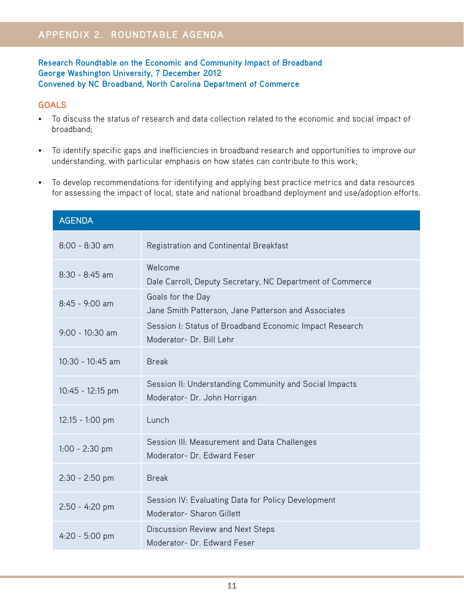# **Research Roundtable on the Economic and Community Impact of Broadband George Washington University, 7 December 2012 Convened by NC Broadband, North Carolina Department of Commerce**

# **GOALS**

- To discuss the status of research and data collection related to the economic and social impact of broadband;
- To identify specific gaps and inefficiencies in broadband research and opportunities to improve our understanding, with particular emphasis on how states can contribute to this work;
- To develop recommendations for identifying and applying best practice metrics and data resources for assessing the impact of local, state and national broadband deployment and use/adoption efforts.

| <b>AGENDA</b>      |                                                                                        |
|--------------------|----------------------------------------------------------------------------------------|
| $8:00 - 8:30$ am   | Registration and Continental Breakfast                                                 |
| $8:30 - 8:45$ am   | Welcome<br>Dale Carroll, Deputy Secretary, NC Department of Commerce                   |
| 8:45 - 9:00 am     | Goals for the Day<br>Jane Smith Patterson, Jane Patterson and Associates               |
| $9:00 - 10:30$ am  | Session I: Status of Broadband Economic Impact Research<br>Moderator- Dr. Bill Lehr    |
| $10:30 - 10:45$ am | <b>Break</b>                                                                           |
| 10:45 - 12:15 pm   | Session II: Understanding Community and Social Impacts<br>Moderator- Dr. John Horrigan |
| 12:15 - 1:00 pm    | Lunch                                                                                  |
| $1:00 - 2:30$ pm   | Session III: Measurement and Data Challenges<br>Moderator- Dr. Edward Feser            |
| 2:30 - 2:50 pm     | <b>Break</b>                                                                           |
| 2:50 - 4:20 pm     | Session IV: Evaluating Data for Policy Development<br>Moderator- Sharon Gillett        |
| $4:20 - 5:00$ pm   | Discussion Review and Next Steps<br>Moderator- Dr. Edward Feser                        |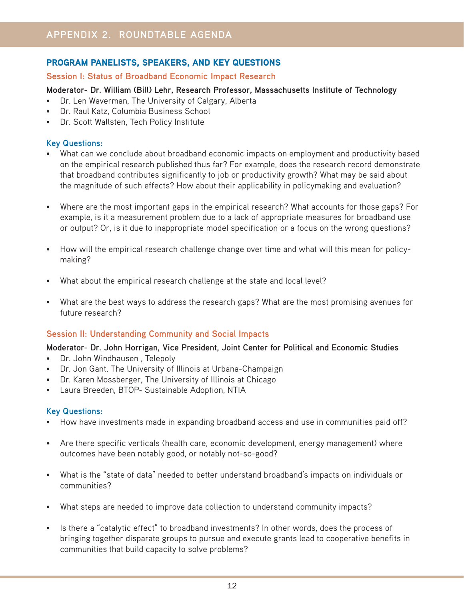# PROGRAM PANELISTS, SPEAKERS, AND KEY QUESTIONS

# **Session I: Status of Broadband Economic Impact Research**

#### **Moderator- Dr. William (Bill) Lehr, Research Professor, Massachusetts Institute of Technology**

- Dr. Len Waverman, The University of Calgary, Alberta
- Dr. Raul Katz, Columbia Business School
- Dr. Scott Wallsten, Tech Policy Institute

### **Key Questions:**

- What can we conclude about broadband economic impacts on employment and productivity based on the empirical research published thus far? For example, does the research record demonstrate that broadband contributes significantly to job or productivity growth? What may be said about the magnitude of such effects? How about their applicability in policymaking and evaluation?
- Where are the most important gaps in the empirical research? What accounts for those gaps? For example, is it a measurement problem due to a lack of appropriate measures for broadband use or output? Or, is it due to inappropriate model specification or a focus on the wrong questions?
- How will the empirical research challenge change over time and what will this mean for policymaking?
- What about the empirical research challenge at the state and local level?
- What are the best ways to address the research gaps? What are the most promising avenues for future research?

# **Session II: Understanding Community and Social Impacts**

# **Moderator- Dr. John Horrigan, Vice President, Joint Center for Political and Economic Studies**

- Dr. John Windhausen , Telepoly
- Dr. Jon Gant, The University of Illinois at Urbana-Champaign
- Dr. Karen Mossberger, The University of Illinois at Chicago
- Laura Breeden, BTOP- Sustainable Adoption, NTIA

#### **Key Questions:**

- How have investments made in expanding broadband access and use in communities paid off?
- Are there specific verticals (health care, economic development, energy management) where outcomes have been notably good, or notably not-so-good?
- What is the "state of data" needed to better understand broadband's impacts on individuals or communities?
- What steps are needed to improve data collection to understand community impacts?
- Is there a "catalytic effect" to broadband investments? In other words, does the process of bringing together disparate groups to pursue and execute grants lead to cooperative benefits in communities that build capacity to solve problems?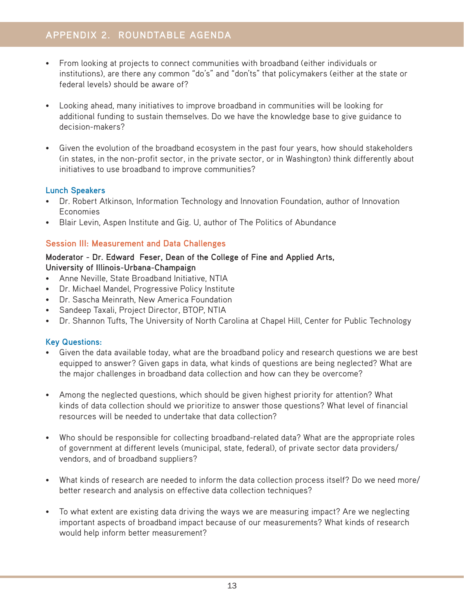- From looking at projects to connect communities with broadband (either individuals or institutions), are there any common "do's" and "don'ts" that policymakers (either at the state or federal levels) should be aware of?
- Looking ahead, many initiatives to improve broadband in communities will be looking for additional funding to sustain themselves. Do we have the knowledge base to give guidance to decision-makers?
- Given the evolution of the broadband ecosystem in the past four years, how should stakeholders (in states, in the non-profit sector, in the private sector, or in Washington) think differently about initiatives to use broadband to improve communities?

# **Lunch Speakers**

- Dr. Robert Atkinson, Information Technology and Innovation Foundation, author of Innovation Economies
- Blair Levin, Aspen Institute and Gig. U, author of The Politics of Abundance

# **Session III: Measurement and Data Challenges**

#### **Moderator - Dr. Edward Feser, Dean of the College of Fine and Applied Arts, University of Illinois-Urbana-Champaign**

- Anne Neville, State Broadband Initiative, NTIA
- Dr. Michael Mandel, Progressive Policy Institute
- Dr. Sascha Meinrath, New America Foundation
- Sandeep Taxali, Project Director, BTOP, NTIA
- Dr. Shannon Tufts, The University of North Carolina at Chapel Hill, Center for Public Technology

# **Key Questions:**

- Given the data available today, what are the broadband policy and research questions we are best equipped to answer? Given gaps in data, what kinds of questions are being neglected? What are the major challenges in broadband data collection and how can they be overcome?
- Among the neglected questions, which should be given highest priority for attention? What kinds of data collection should we prioritize to answer those questions? What level of financial resources will be needed to undertake that data collection?
- Who should be responsible for collecting broadband-related data? What are the appropriate roles of government at different levels (municipal, state, federal), of private sector data providers/ vendors, and of broadband suppliers?
- What kinds of research are needed to inform the data collection process itself? Do we need more/ better research and analysis on effective data collection techniques?
- To what extent are existing data driving the ways we are measuring impact? Are we neglecting important aspects of broadband impact because of our measurements? What kinds of research would help inform better measurement?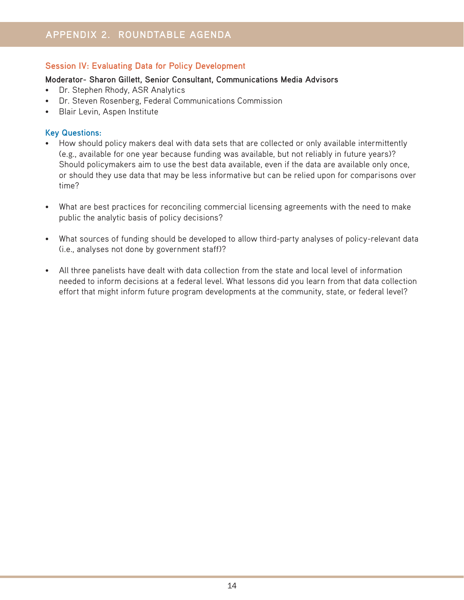# **Session IV: Evaluating Data for Policy Development**

#### **Moderator- Sharon Gillett, Senior Consultant, Communications Media Advisors**

- Dr. Stephen Rhody, ASR Analytics
- Dr. Steven Rosenberg, Federal Communications Commission
- Blair Levin, Aspen Institute

### **Key Questions:**

- How should policy makers deal with data sets that are collected or only available intermittently (e.g., available for one year because funding was available, but not reliably in future years)? Should policymakers aim to use the best data available, even if the data are available only once, or should they use data that may be less informative but can be relied upon for comparisons over time?
- What are best practices for reconciling commercial licensing agreements with the need to make public the analytic basis of policy decisions?
- What sources of funding should be developed to allow third-party analyses of policy-relevant data (i.e., analyses not done by government staff)?
- All three panelists have dealt with data collection from the state and local level of information needed to inform decisions at a federal level. What lessons did you learn from that data collection effort that might inform future program developments at the community, state, or federal level?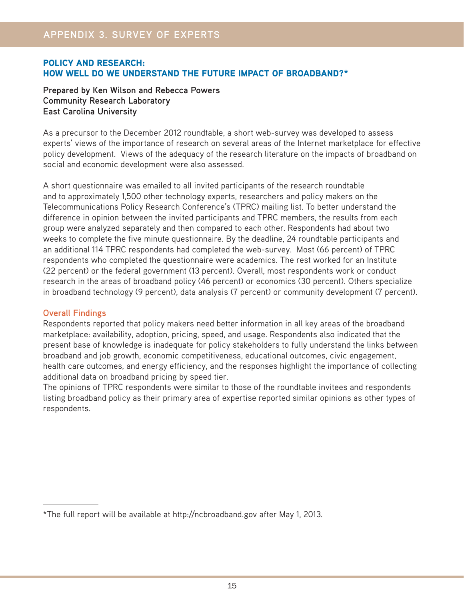# POLICY AND RESEARCH: HOW WELL DO WE UNDERSTAND THE FUTURE IMPACT OF BROADBAND?\*

**Prepared by Ken Wilson and Rebecca Powers Community Research Laboratory East Carolina University**

As a precursor to the December 2012 roundtable, a short web-survey was developed to assess experts' views of the importance of research on several areas of the Internet marketplace for effective policy development. Views of the adequacy of the research literature on the impacts of broadband on social and economic development were also assessed.

A short questionnaire was emailed to all invited participants of the research roundtable and to approximately 1,500 other technology experts, researchers and policy makers on the Telecommunications Policy Research Conference's (TPRC) mailing list. To better understand the difference in opinion between the invited participants and TPRC members, the results from each group were analyzed separately and then compared to each other. Respondents had about two weeks to complete the five minute questionnaire. By the deadline, 24 roundtable participants and an additional 114 TPRC respondents had completed the web-survey. Most (66 percent) of TPRC respondents who completed the questionnaire were academics. The rest worked for an Institute (22 percent) or the federal government (13 percent). Overall, most respondents work or conduct research in the areas of broadband policy (46 percent) or economics (30 percent). Others specialize in broadband technology (9 percent), data analysis (7 percent) or community development (7 percent).

# **Overall Findings**

Respondents reported that policy makers need better information in all key areas of the broadband marketplace: availability, adoption, pricing, speed, and usage. Respondents also indicated that the present base of knowledge is inadequate for policy stakeholders to fully understand the links between broadband and job growth, economic competitiveness, educational outcomes, civic engagement, health care outcomes, and energy efficiency, and the responses highlight the importance of collecting additional data on broadband pricing by speed tier.

The opinions of TPRC respondents were similar to those of the roundtable invitees and respondents listing broadband policy as their primary area of expertise reported similar opinions as other types of respondents.

<sup>\*</sup>The full report will be available at http://ncbroadband.gov after May 1, 2013.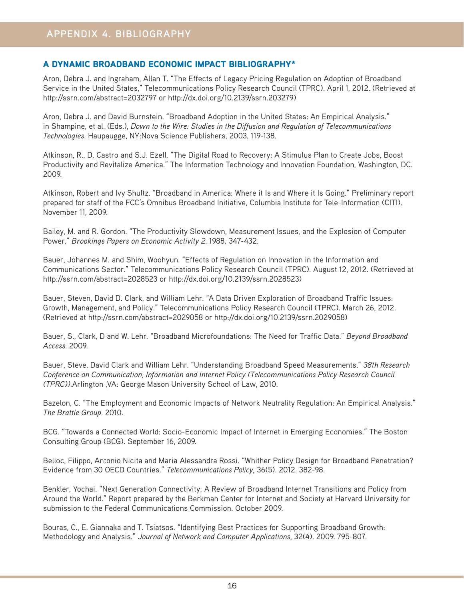# A DYNAMIC BROADBAND ECONOMIC IMPACT BIBLIOGRAPHY\*

Aron, Debra J. and Ingraham, Allan T. "The Effects of Legacy Pricing Regulation on Adoption of Broadband Service in the United States," Telecommunications Policy Research Council (TPRC). April 1, 2012. (Retrieved at http://ssrn.com/abstract=2032797 or http://dx.doi.org/10.2139/ssrn.203279)

Aron, Debra J. and David Burnstein. "Broadband Adoption in the United States: An Empirical Analysis." in Shampine, et al. (Eds.), *Down to the Wire: Studies in the Diffusion and Regulation of Telecommunications Technologies.* Haupaugge, NY:Nova Science Publishers, 2003. 119-138.

Atkinson, R., D. Castro and S.J. Ezell. "The Digital Road to Recovery: A Stimulus Plan to Create Jobs, Boost Productivity and Revitalize America." The Information Technology and Innovation Foundation, Washington, DC. 2009.

Atkinson, Robert and Ivy Shultz. "Broadband in America: Where it Is and Where it Is Going." Preliminary report prepared for staff of the FCC's Omnibus Broadband Initiative, Columbia Institute for Tele-Information (CITI). November 11, 2009.

Bailey, M. and R. Gordon. "The Productivity Slowdown, Measurement Issues, and the Explosion of Computer Power." *Brookings Papers on Economic Activity 2.* 1988. 347-432.

Bauer, Johannes M. and Shim, Woohyun. "Effects of Regulation on Innovation in the Information and Communications Sector." Telecommunications Policy Research Council (TPRC). August 12, 2012. (Retrieved at http://ssrn.com/abstract=2028523 or http://dx.doi.org/10.2139/ssrn.2028523)

Bauer, Steven, David D. Clark, and William Lehr. "A Data Driven Exploration of Broadband Traffic Issues: Growth, Management, and Policy." Telecommunications Policy Research Council (TPRC). March 26, 2012. (Retrieved at http://ssrn.com/abstract=2029058 or http://dx.doi.org/10.2139/ssrn.2029058)

Bauer, S., Clark, D and W. Lehr. "Broadband Microfoundations: The Need for Traffic Data." *Beyond Broadband Access.* 2009.

Bauer, Steve, David Clark and William Lehr. "Understanding Broadband Speed Measurements." *38th Research Conference on Communication, Information and Internet Policy (Telecommunications Policy Research Council (TPRC))*.Arlington ,VA: George Mason University School of Law, 2010.

Bazelon, C. "The Employment and Economic Impacts of Network Neutrality Regulation: An Empirical Analysis." *The Brattle Group.* 2010.

BCG. "Towards a Connected World: Socio-Economic Impact of Internet in Emerging Economies." The Boston Consulting Group (BCG). September 16, 2009.

Belloc, Filippo, Antonio Nicita and Maria Alessandra Rossi. "Whither Policy Design for Broadband Penetration? Evidence from 30 OECD Countries." *Telecommunications Policy,* 36(5). 2012. 382-98.

Benkler, Yochai. "Next Generation Connectivity: A Review of Broadband Internet Transitions and Policy from Around the World." Report prepared by the Berkman Center for Internet and Society at Harvard University for submission to the Federal Communications Commission. October 2009.

Bouras, C., E. Giannaka and T. Tsiatsos. "Identifying Best Practices for Supporting Broadband Growth: Methodology and Analysis." *Journal of Network and Computer Applications,* 32(4). 2009. 795-807.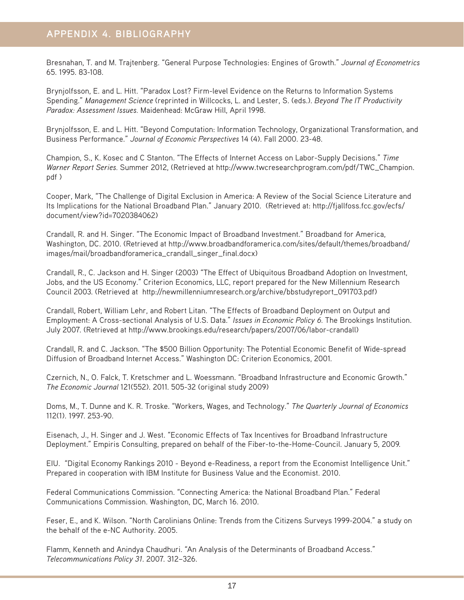Bresnahan, T. and M. Trajtenberg. "General Purpose Technologies: Engines of Growth." *Journal of Econometrics*  65. 1995. 83-108.

Brynjolfsson, E. and L. Hitt. "Paradox Lost? Firm-level Evidence on the Returns to Information Systems Spending." *Management Science* (reprinted in Willcocks, L. and Lester, S. (eds.). *Beyond The IT Productivity Paradox: Assessment Issues.* Maidenhead: McGraw Hill, April 1998.

Brynjolfsson, E. and L. Hitt. "Beyond Computation: Information Technology, Organizational Transformation, and Business Performance." *Journal of Economic Perspectives* 14 (4). Fall 2000. 23-48.

Champion, S., K. Kosec and C Stanton. "The Effects of Internet Access on Labor-Supply Decisions." *Time Warner Report Series.* Summer 2012, (Retrieved at http://www.twcresearchprogram.com/pdf/TWC\_Champion. pdf )

Cooper, Mark, "The Challenge of Digital Exclusion in America: A Review of the Social Science Literature and Its Implications for the National Broadband Plan." January 2010. (Retrieved at: http://fjallfoss.fcc.gov/ecfs/ document/view?id=7020384062)

Crandall, R. and H. Singer. "The Economic Impact of Broadband Investment." Broadband for America, Washington, DC. 2010. (Retrieved at http://www.broadbandforamerica.com/sites/default/themes/broadband/ images/mail/broadbandforamerica\_crandall\_singer\_final.docx)

Crandall, R., C. Jackson and H. Singer (2003) "The Effect of Ubiquitous Broadband Adoption on Investment, Jobs, and the US Economy." Criterion Economics, LLC, report prepared for the New Millennium Research Council 2003. (Retrieved at http://newmillenniumresearch.org/archive/bbstudyreport\_091703.pdf)

Crandall, Robert, William Lehr, and Robert Litan. "The Effects of Broadband Deployment on Output and Employment: A Cross-sectional Analysis of U.S. Data." *Issues in Economic Policy 6.* The Brookings Institution. July 2007. (Retrieved at http://www.brookings.edu/research/papers/2007/06/labor-crandall)

Crandall, R. and C. Jackson. "The \$500 Billion Opportunity: The Potential Economic Benefit of Wide-spread Diffusion of Broadband Internet Access." Washington DC: Criterion Economics, 2001.

Czernich, N., O. Falck, T. Kretschmer and L. Woessmann. "Broadband Infrastructure and Economic Growth." *The Economic Journal* 121(552). 2011. 505-32 (original study 2009)

Doms, M., T. Dunne and K. R. Troske. "Workers, Wages, and Technology." *The Quarterly Journal of Economics* 112(1). 1997. 253-90.

Eisenach, J., H. Singer and J. West. "Economic Effects of Tax Incentives for Broadband Infrastructure Deployment." Empiris Consulting, prepared on behalf of the Fiber-to-the-Home-Council. January 5, 2009.

EIU. "Digital Economy Rankings 2010 - Beyond e-Readiness, a report from the Economist Intelligence Unit." Prepared in cooperation with IBM Institute for Business Value and the Economist. 2010.

Federal Communications Commission. "Connecting America: the National Broadband Plan." Federal Communications Commission. Washington, DC, March 16. 2010.

Feser, E., and K. Wilson. "North Carolinians Online: Trends from the Citizens Surveys 1999-2004." a study on the behalf of the e-NC Authority. 2005.

Flamm, Kenneth and Anindya Chaudhuri. "An Analysis of the Determinants of Broadband Access." *Telecommunications Policy 31*. 2007. 312–326.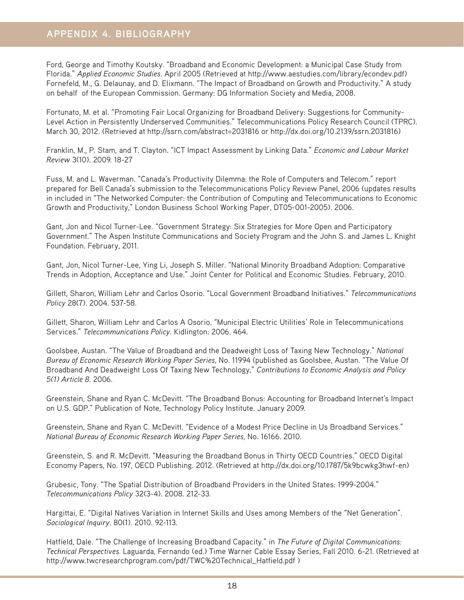Ford, George and Timothy Koutsky. "Broadband and Economic Development: a Municipal Case Study from Florida." *Applied Economic Studies*. April 2005 (Retrieved at http://www.aestudies.com/library/econdev.pdf) Fornefeld, M., G. Delaunay, and D. Elixmann. "The Impact of Broadband on Growth and Productivity." A study on behalf of the European Commission. Germany: DG Information Society and Media, 2008.

Fortunato, M. et al. "Promoting Fair Local Organizing for Broadband Delivery: Suggestions for Community-Level Action in Persistently Underserved Communities." Telecommunications Policy Research Council (TPRC). March 30, 2012. (Retrieved at http://ssrn.com/abstract=2031816 or http://dx.doi.org/10.2139/ssrn.2031816)

Franklin, M., P. Stam, and T. Clayton. "ICT Impact Assessment by Linking Data." *Economic and Labour Market Review* 3(10). 2009. 18-27

Fuss, M. and L. Waverman. "Canada's Productivity Dilemma: the Role of Computers and Telecom." report prepared for Bell Canada's submission to the Telecommunications Policy Review Panel, 2006 (updates results in included in "The Networked Computer: the Contribution of Computing and Telecommunications to Economic Growth and Productivity," London Business School Working Paper, DT05-001-2005). 2006.

Gant, Jon and Nicol Turner-Lee. "Government Strategy: Six Strategies for More Open and Participatory Government." The Aspen Institute Communications and Society Program and the John S. and James L. Knight Foundation. February, 2011.

Gant, Jon, Nicol Turner-Lee, Ying Li, Joseph S. Miller. "National Minority Broadband Adoption: Comparative Trends in Adoption, Acceptance and Use." Joint Center for Political and Economic Studies. February, 2010.

Gillett, Sharon, William Lehr and Carlos Osorio. "Local Government Broadband Initiatives." *Telecommunications Policy* 28(7). 2004. 537-58.

Gillett, Sharon, William Lehr and Carlos A Osorio. "Municipal Electric Utilities' Role in Telecommunications Services." *Telecommunications Policy*. Kidlington: 2006. 464.

Goolsbee, Austan. "The Value of Broadband and the Deadweight Loss of Taxing New Technology." *National Bureau of Economic Research Working Paper Series*, No. 11994 (published as Goolsbee, Austan. "The Value Of Broadband And Deadweight Loss Of Taxing New Technology," *Contributions to Economic Analysis and Policy 5(1) Article 8*. 2006.

Greenstein, Shane and Ryan C. McDevitt. "The Broadband Bonus: Accounting for Broadband Internet's Impact on U.S. GDP." Publication of Note, Technology Policy Institute. January 2009.

Greenstein, Shane and Ryan C. McDevitt. "Evidence of a Modest Price Decline in Us Broadband Services." *National Bureau of Economic Research Working Paper Series*, No. 16166. 2010.

Greenstein, S. and R. McDevitt. "Measuring the Broadband Bonus in Thirty OECD Countries." OECD Digital Economy Papers, No. 197, OECD Publishing. 2012. (Retrieved at http://dx.doi.org/10.1787/5k9bcwkg3hwf-en)

Grubesic, Tony. "The Spatial Distribution of Broadband Providers in the United States: 1999-2004." *Telecommunications Policy* 32(3-4). 2008. 212-33.

Hargittai, E. "Digital Natives Variation in Internet Skills and Uses among Members of the "Net Generation". *Sociological Inquiry*. 80(1). 2010. 92-113.

Hatfield, Dale. "The Challenge of Increasing Broadband Capacity." in *The Future of Digital Communications: Technical Perspectives.* Laguarda, Fernando (ed.) Time Warner Cable Essay Series, Fall 2010. 6-21. (Retrieved at http://www.twcresearchprogram.com/pdf/TWC%20Technical\_Hatfield.pdf )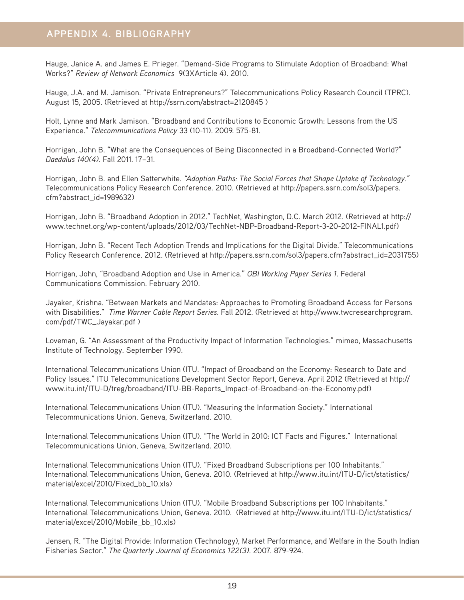Hauge, Janice A. and James E. Prieger. "Demand-Side Programs to Stimulate Adoption of Broadband: What Works?" *Review of Network Economics* 9(3)(Article 4). 2010.

Hauge, J.A. and M. Jamison. "Private Entrepreneurs?" Telecommunications Policy Research Council (TPRC). August 15, 2005. (Retrieved at http://ssrn.com/abstract=2120845 )

Holt, Lynne and Mark Jamison. "Broadband and Contributions to Economic Growth: Lessons from the US Experience." *Telecommunications Policy* 33 (10-11). 2009. 575-81.

Horrigan, John B. "What are the Consequences of Being Disconnected in a Broadband-Connected World?" *Daedalus 140(4)*. Fall 2011. 17–31.

Horrigan, John B. and Ellen Satterwhite. *"Adoption Paths: The Social Forces that Shape Uptake of Technology."* Telecommunications Policy Research Conference. 2010. (Retrieved at http://papers.ssrn.com/sol3/papers. cfm?abstract\_id=1989632)

Horrigan, John B. "Broadband Adoption in 2012." TechNet, Washington, D.C. March 2012. (Retrieved at http:// www.technet.org/wp-content/uploads/2012/03/TechNet-NBP-Broadband-Report-3-20-2012-FINAL1.pdf)

Horrigan, John B. "Recent Tech Adoption Trends and Implications for the Digital Divide." Telecommunications Policy Research Conference. 2012. (Retrieved at http://papers.ssrn.com/sol3/papers.cfm?abstract\_id=2031755)

Horrigan, John, "Broadband Adoption and Use in America." *OBI Working Paper Series 1*. Federal Communications Commission. February 2010.

Jayaker, Krishna. "Between Markets and Mandates: Approaches to Promoting Broadband Access for Persons with Disabilities." *Time Warner Cable Report Series.* Fall 2012. (Retrieved at http://www.twcresearchprogram. com/pdf/TWC\_Jayakar.pdf )

Loveman, G. "An Assessment of the Productivity Impact of Information Technologies." mimeo, Massachusetts Institute of Technology. September 1990.

International Telecommunications Union (ITU. "Impact of Broadband on the Economy: Research to Date and Policy Issues." ITU Telecommunications Development Sector Report, Geneva. April 2012 (Retrieved at http:// www.itu.int/ITU-D/treg/broadband/ITU-BB-Reports\_Impact-of-Broadband-on-the-Economy.pdf)

International Telecommunications Union (ITU). "Measuring the Information Society." International Telecommunications Union. Geneva, Switzerland. 2010.

International Telecommunications Union (ITU). "The World in 2010: ICT Facts and Figures." International Telecommunications Union, Geneva, Switzerland. 2010.

International Telecommunications Union (ITU). "Fixed Broadband Subscriptions per 100 Inhabitants." International Telecommunications Union, Geneva. 2010. (Retrieved at http://www.itu.int/ITU-D/ict/statistics/ material/excel/2010/Fixed\_bb\_10.xls)

International Telecommunications Union (ITU). "Mobile Broadband Subscriptions per 100 Inhabitants." International Telecommunications Union, Geneva. 2010. (Retrieved at http://www.itu.int/ITU-D/ict/statistics/ material/excel/2010/Mobile\_bb\_10.xls)

Jensen, R. "The Digital Provide: Information (Technology), Market Performance, and Welfare in the South Indian Fisheries Sector." *The Quarterly Journal of Economics 122(3)*. 2007. 879-924.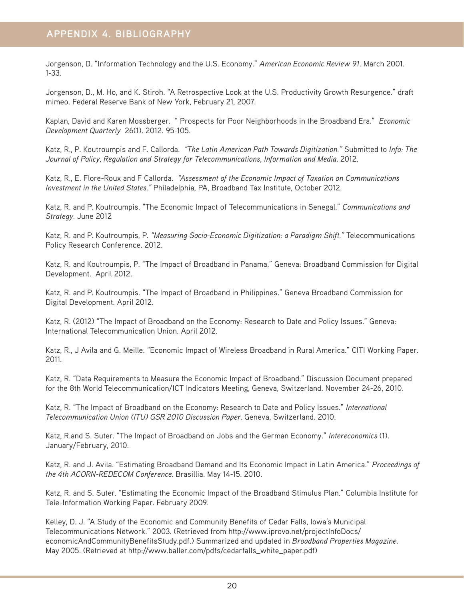Jorgenson, D. "Information Technology and the U.S. Economy." *American Economic Review 91*. March 2001. 1-33.

Jorgenson, D., M. Ho, and K. Stiroh. "A Retrospective Look at the U.S. Productivity Growth Resurgence." draft mimeo. Federal Reserve Bank of New York, February 21, 2007.

Kaplan, David and Karen Mossberger. " Prospects for Poor Neighborhoods in the Broadband Era." *Economic Development Quarterly* 26(1). 2012. 95-105.

Katz, R., P. Koutroumpis and F. Callorda. *"The Latin American Path Towards Digitization."* Submitted to *Info: The Journal of Policy, Regulation and Strategy for Telecommunications, Information and Media.* 2012.

Katz, R., E. Flore-Roux and F Callorda. *"Assessment of the Economic Impact of Taxation on Communications Investment in the United States."* Philadelphia, PA, Broadband Tax Institute, October 2012.

Katz, R. and P. Koutroumpis. "The Economic Impact of Telecommunications in Senegal." *Communications and Strategy.* June 2012

Katz, R. and P. Koutroumpis, P. *"Measuring Socio-Economic Digitization: a Paradigm Shift."* Telecommunications Policy Research Conference. 2012.

Katz, R. and Koutroumpis, P. "The Impact of Broadband in Panama." Geneva: Broadband Commission for Digital Development. April 2012.

Katz, R. and P. Koutroumpis. "The Impact of Broadband in Philippines." Geneva Broadband Commission for Digital Development. April 2012.

Katz, R. (2012) "The Impact of Broadband on the Economy: Research to Date and Policy Issues." Geneva: International Telecommunication Union. April 2012.

Katz, R., J Avila and G. Meille. "Economic Impact of Wireless Broadband in Rural America." CITI Working Paper. 2011.

Katz, R. "Data Requirements to Measure the Economic Impact of Broadband." Discussion Document prepared for the 8th World Telecommunication/ICT Indicators Meeting, Geneva, Switzerland. November 24-26, 2010.

Katz, R. "The Impact of Broadband on the Economy: Research to Date and Policy Issues." *International Telecommunication Union (ITU) GSR 2010 Discussion Paper.* Geneva, Switzerland. 2010.

Katz, R.and S. Suter. "The Impact of Broadband on Jobs and the German Economy." *Intereconomics* (1). January/February, 2010.

Katz, R. and J. Avila. "Estimating Broadband Demand and Its Economic Impact in Latin America." *Proceedings of the 4th ACORN-REDECOM Conference.* Brasillia. May 14-15. 2010.

Katz, R. and S. Suter. "Estimating the Economic Impact of the Broadband Stimulus Plan." Columbia Institute for Tele-Information Working Paper. February 2009.

Kelley, D. J. "A Study of the Economic and Community Benefits of Cedar Falls, Iowa's Municipal Telecommunications Network." 2003. (Retrieved from http://www.iprovo.net/projectInfoDocs/ economicAndCommunityBenefitsStudy.pdf.) Summarized and updated in *Broadband Properties Magazine*. May 2005. (Retrieved at http://www.baller.com/pdfs/cedarfalls\_white\_paper.pdf)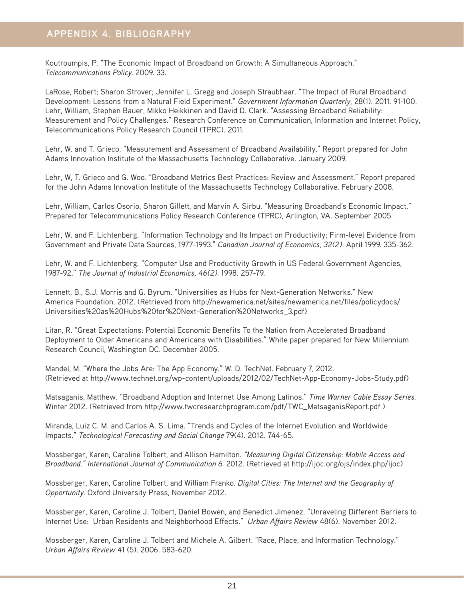Koutroumpis, P. "The Economic Impact of Broadband on Growth: A Simultaneous Approach." *Telecommunications Policy.* 2009. 33.

LaRose, Robert; Sharon Strover; Jennifer L. Gregg and Joseph Straubhaar. "The Impact of Rural Broadband Development: Lessons from a Natural Field Experiment." *Government Information Quarterly,* 28(1). 2011. 91-100. Lehr, William, Stephen Bauer, Mikko Heikkinen and David D. Clark. "Assessing Broadband Reliability: Measurement and Policy Challenges." Research Conference on Communication, Information and Internet Policy, Telecommunications Policy Research Council (TPRC). 2011.

Lehr, W. and T. Grieco. "Measurement and Assessment of Broadband Availability." Report prepared for John Adams Innovation Institute of the Massachusetts Technology Collaborative. January 2009.

Lehr, W, T. Grieco and G. Woo. "Broadband Metrics Best Practices: Review and Assessment." Report prepared for the John Adams Innovation Institute of the Massachusetts Technology Collaborative. February 2008.

Lehr, William, Carlos Osorio, Sharon Gillett, and Marvin A. Sirbu. "Measuring Broadband's Economic Impact." Prepared for Telecommunications Policy Research Conference (TPRC), Arlington, VA. September 2005.

Lehr, W. and F. Lichtenberg. "Information Technology and Its Impact on Productivity: Firm-level Evidence from Government and Private Data Sources, 1977-1993." *Canadian Journal of Economics, 32(2)*. April 1999. 335-362.

Lehr, W. and F. Lichtenberg. "Computer Use and Productivity Growth in US Federal Government Agencies, 1987-92." *The Journal of Industrial Economics, 46(2).* 1998. 257-79.

Lennett, B., S.J. Morris and G. Byrum. "Universities as Hubs for Next-Generation Networks." New America Foundation. 2012. (Retrieved from http://newamerica.net/sites/newamerica.net/files/policydocs/ Universities%20as%20Hubs%20for%20Next-Generation%20Networks\_3.pdf)

Litan, R. "Great Expectations: Potential Economic Benefits To the Nation from Accelerated Broadband Deployment to Older Americans and Americans with Disabilities." White paper prepared for New Millennium Research Council, Washington DC. December 2005.

Mandel, M. "Where the Jobs Are: The App Economy." W. D. TechNet. February 7, 2012. (Retrieved at http://www.technet.org/wp-content/uploads/2012/02/TechNet-App-Economy-Jobs-Study.pdf)

Matsaganis, Matthew. "Broadband Adoption and Internet Use Among Latinos." *Time Warner Cable Essay Series.*  Winter 2012. (Retrieved from http://www.twcresearchprogram.com/pdf/TWC\_MatsaganisReport.pdf )

Miranda, Luiz C. M. and Carlos A. S. Lima. "Trends and Cycles of the Internet Evolution and Worldwide Impacts." *Technological Forecasting and Social Change* 79(4). 2012. 744-65.

Mossberger, Karen, Caroline Tolbert, and Allison Hamilton. *"Measuring Digital Citizenship: Mobile Access and Broadband." International Journal of Communication 6.* 2012. (Retrieved at http://ijoc.org/ojs/index.php/ijoc)

Mossberger, Karen, Caroline Tolbert, and William Franko. *Digital Cities: The Internet and the Geography of Opportunity.* Oxford University Press, November 2012.

Mossberger, Karen, Caroline J. Tolbert, Daniel Bowen, and Benedict Jimenez. "Unraveling Different Barriers to Internet Use: Urban Residents and Neighborhood Effects." *Urban Affairs Review* 48(6). November 2012.

Mossberger, Karen, Caroline J. Tolbert and Michele A. Gilbert. "Race, Place, and Information Technology." *Urban Affairs Review* 41 (5). 2006. 583-620.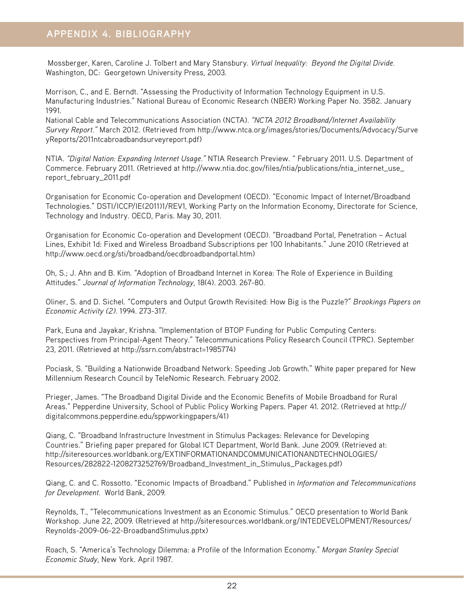Mossberger, Karen, Caroline J. Tolbert and Mary Stansbury. *Virtual Inequality: Beyond the Digital Divide.*  Washington, DC: Georgetown University Press, 2003.

Morrison, C., and E. Berndt. "Assessing the Productivity of Information Technology Equipment in U.S. Manufacturing Industries." National Bureau of Economic Research (NBER) Working Paper No. 3582. January 1991.

National Cable and Telecommunications Association (NCTA). *"NCTA 2012 Broadband/Internet Availability Survey Report."* March 2012. (Retrieved from http://www.ntca.org/images/stories/Documents/Advocacy/Surve yReports/2011ntcabroadbandsurveyreport.pdf)

NTIA. *"Digital Nation: Expanding Internet Usage."* NTIA Research Preview. " February 2011. U.S. Department of Commerce. February 2011. (Retrieved at http://www.ntia.doc.gov/files/ntia/publications/ntia\_internet\_use\_ report\_february\_2011.pdf

Organisation for Economic Co-operation and Development (OECD). "Economic Impact of Internet/Broadband Technologies." DSTI/ICCP/IE(2011)1/REV1, Working Party on the Information Economy, Directorate for Science, Technology and Industry. OECD, Paris. May 30, 2011.

Organisation for Economic Co-operation and Development (OECD). "Broadband Portal, Penetration – Actual Lines, Exhibit 1d: Fixed and Wireless Broadband Subscriptions per 100 Inhabitants." June 2010 (Retrieved at http://www.oecd.org/sti/broadband/oecdbroadbandportal.htm)

Oh, S.; J. Ahn and B. Kim. "Adoption of Broadband Internet in Korea: The Role of Experience in Building Attitudes." *Journal of Information Technology,* 18(4). 2003. 267-80.

Oliner, S. and D. Sichel. "Computers and Output Growth Revisited: How Big is the Puzzle?" *Brookings Papers on Economic Activity (2).* 1994. 273-317.

Park, Euna and Jayakar, Krishna. "Implementation of BTOP Funding for Public Computing Centers: Perspectives from Principal-Agent Theory." Telecommunications Policy Research Council (TPRC). September 23, 2011. (Retrieved at http://ssrn.com/abstract=1985774)

Pociask, S. "Building a Nationwide Broadband Network: Speeding Job Growth." White paper prepared for New Millennium Research Council by TeleNomic Research. February 2002.

Prieger, James. "The Broadband Digital Divide and the Economic Benefits of Mobile Broadband for Rural Areas." Pepperdine University, School of Public Policy Working Papers. Paper 41. 2012. (Retrieved at http:// digitalcommons.pepperdine.edu/sppworkingpapers/41)

Qiang, C. "Broadband Infrastructure Investment in Stimulus Packages: Relevance for Developing Countries." Briefing paper prepared for Global ICT Department, World Bank. June 2009. (Retrieved at: http://siteresources.worldbank.org/EXTINFORMATIONANDCOMMUNICATIONANDTECHNOLOGIES/ Resources/282822-1208273252769/Broadband\_Investment\_in\_Stimulus\_Packages.pdf)

Qiang, C. and C. Rossotto. "Economic Impacts of Broadband." Published in *Information and Telecommunications for Development.* World Bank, 2009.

Reynolds, T., "Telecommunications Investment as an Economic Stimulus." OECD presentation to World Bank Workshop. June 22, 2009. (Retrieved at http://siteresources.worldbank.org/INTEDEVELOPMENT/Resources/ Reynolds-2009-06-22-BroadbandStimulus.pptx)

Roach, S. "America's Technology Dilemma: a Profile of the Information Economy." *Morgan Stanley Special Economic Study,* New York. April 1987.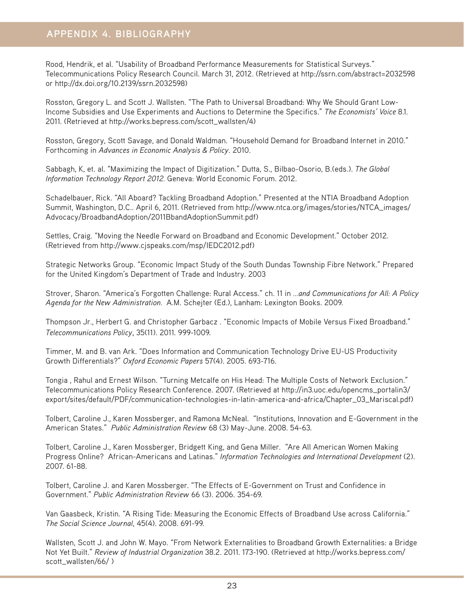Rood, Hendrik, et al. "Usability of Broadband Performance Measurements for Statistical Surveys." Telecommunications Policy Research Council. March 31, 2012. (Retrieved at http://ssrn.com/abstract=2032598 or http://dx.doi.org/10.2139/ssrn.2032598)

Rosston, Gregory L. and Scott J. Wallsten. "The Path to Universal Broadband: Why We Should Grant Low-Income Subsidies and Use Experiments and Auctions to Determine the Specifics." *The Economists' Voice* 8.1. 2011. (Retrieved at http://works.bepress.com/scott\_wallsten/4)

Rosston, Gregory, Scott Savage, and Donald Waldman. "Household Demand for Broadband Internet in 2010." Forthcoming in *Advances in Economic Analysis & Policy*. 2010.

Sabbagh, K, et. al. "Maximizing the Impact of Digitization." Dutta, S., Bilbao-Osorio, B.(eds.). *The Global Information Technology Report 2012.* Geneva: World Economic Forum. 2012.

Schadelbauer, Rick. "All Aboard? Tackling Broadband Adoption." Presented at the NTIA Broadband Adoption Summit, Washington, D.C.. April 6, 2011. (Retrieved from http://www.ntca.org/images/stories/NTCA\_images/ Advocacy/BroadbandAdoption/2011BbandAdoptionSummit.pdf)

Settles, Craig. "Moving the Needle Forward on Broadband and Economic Development." October 2012. (Retrieved from http://www.cjspeaks.com/msp/IEDC2012.pdf)

Strategic Networks Group. "Economic Impact Study of the South Dundas Township Fibre Network." Prepared for the United Kingdom's Department of Trade and Industry. 2003

Strover, Sharon. "America's Forgotten Challenge: Rural Access." ch. 11 in *...and Communications for All: A Policy Agenda for the New Administration.* A.M. Schejter (Ed.), Lanham: Lexington Books. 2009.

Thompson Jr., Herbert G. and Christopher Garbacz . "Economic Impacts of Mobile Versus Fixed Broadband." *Telecommunications Policy*, 35(11). 2011. 999-1009.

Timmer, M. and B. van Ark. "Does Information and Communication Technology Drive EU-US Productivity Growth Differentials?" *Oxford Economic Papers* 57(4). 2005. 693-716.

Tongia , Rahul and Ernest Wilson. "Turning Metcalfe on His Head: The Multiple Costs of Network Exclusion." Telecommunications Policy Research Conference. 2007. (Retrieved at http://in3.uoc.edu/opencms\_portalin3/ export/sites/default/PDF/communication-technologies-in-latin-america-and-africa/Chapter\_03\_Mariscal.pdf)

Tolbert, Caroline J., Karen Mossberger, and Ramona McNeal. "Institutions, Innovation and E-Government in the American States." *Public Administration Review* 68 (3) May-June. 2008. 54-63.

Tolbert, Caroline J., Karen Mossberger, Bridgett King, and Gena Miller. "Are All American Women Making Progress Online? African-Americans and Latinas." *Information Technologies and International Development* (2). 2007. 61-88.

Tolbert, Caroline J. and Karen Mossberger. "The Effects of E-Government on Trust and Confidence in Government." *Public Administration Review* 66 (3). 2006. 354-69.

Van Gaasbeck, Kristin. "A Rising Tide: Measuring the Economic Effects of Broadband Use across California." *The Social Science Journal*, 45(4). 2008. 691-99.

Wallsten, Scott J. and John W. Mayo. "From Network Externalities to Broadband Growth Externalities: a Bridge Not Yet Built." *Review of Industrial Organization* 38.2. 2011. 173-190. (Retrieved at http://works.bepress.com/ scott\_wallsten/66/ )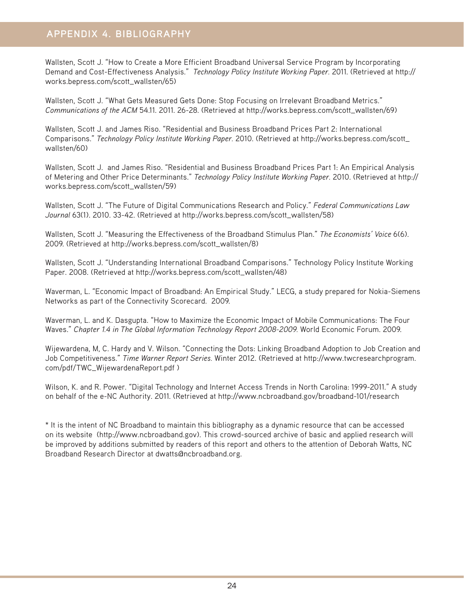Wallsten, Scott J. "How to Create a More Efficient Broadband Universal Service Program by Incorporating Demand and Cost-Effectiveness Analysis." *Technology Policy Institute Working Paper.* 2011. (Retrieved at http:// works.bepress.com/scott\_wallsten/65)

Wallsten, Scott J. "What Gets Measured Gets Done: Stop Focusing on Irrelevant Broadband Metrics." *Communications of the ACM* 54.11. 2011. 26-28. (Retrieved at http://works.bepress.com/scott\_wallsten/69)

Wallsten, Scott J. and James Riso. "Residential and Business Broadband Prices Part 2: International Comparisons." *Technology Policy Institute Working Paper.* 2010. (Retrieved at http://works.bepress.com/scott\_ wallsten/60)

Wallsten, Scott J. and James Riso. "Residential and Business Broadband Prices Part 1: An Empirical Analysis of Metering and Other Price Determinants." *Technology Policy Institute Working Paper.* 2010. (Retrieved at http:// works.bepress.com/scott\_wallsten/59)

Wallsten, Scott J. "The Future of Digital Communications Research and Policy." *Federal Communications Law Journal* 63(1). 2010. 33-42. (Retrieved at http://works.bepress.com/scott\_wallsten/58)

Wallsten, Scott J. "Measuring the Effectiveness of the Broadband Stimulus Plan." *The Economists' Voice* 6(6). 2009. (Retrieved at http://works.bepress.com/scott\_wallsten/8)

Wallsten, Scott J. "Understanding International Broadband Comparisons." Technology Policy Institute Working Paper. 2008. (Retrieved at http://works.bepress.com/scott\_wallsten/48)

Waverman, L. "Economic Impact of Broadband: An Empirical Study." LECG, a study prepared for Nokia-Siemens Networks as part of the Connectivity Scorecard. 2009.

Waverman, L. and K. Dasgupta. "How to Maximize the Economic Impact of Mobile Communications: The Four Waves." *Chapter 1.4 in The Global Information Technology Report 2008-2009.* World Economic Forum. 2009.

Wijewardena, M, C. Hardy and V. Wilson. "Connecting the Dots: Linking Broadband Adoption to Job Creation and Job Competitiveness." *Time Warner Report Series.* Winter 2012. (Retrieved at http://www.twcresearchprogram. com/pdf/TWC\_WijewardenaReport.pdf )

Wilson, K. and R. Power. "Digital Technology and Internet Access Trends in North Carolina: 1999-2011." A study on behalf of the e-NC Authority. 2011. (Retrieved at http://www.ncbroadband.gov/broadband-101/research

\* It is the intent of NC Broadband to maintain this bibliography as a dynamic resource that can be accessed on its website (http://www.ncbroadband.gov). This crowd-sourced archive of basic and applied research will be improved by additions submitted by readers of this report and others to the attention of Deborah Watts, NC Broadband Research Director at dwatts@ncbroadband.org.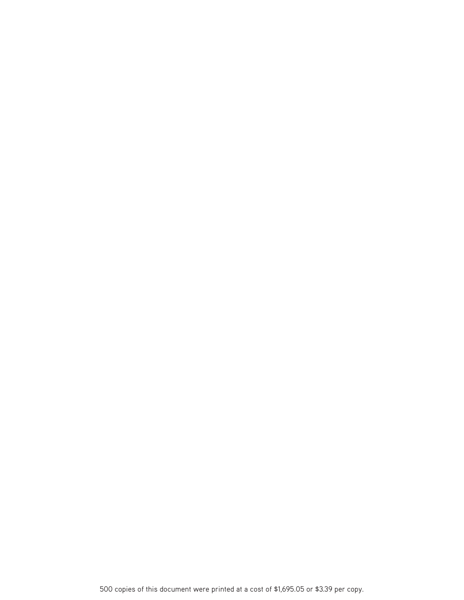500 copies of this document were printed at a cost of \$1,695.05 or \$3.39 per copy.